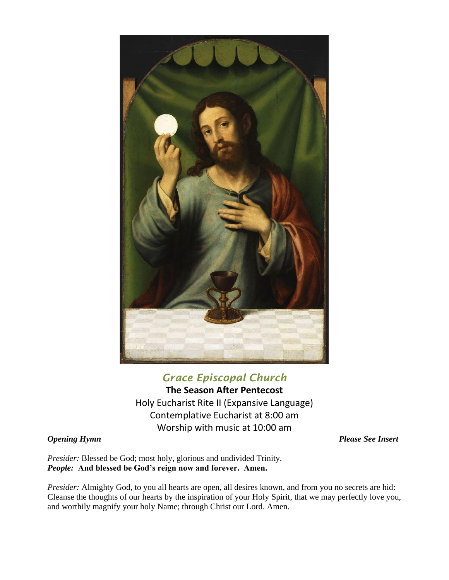

# *Grace Episcopal Church* **The Season After Pentecost** Holy Eucharist Rite II (Expansive Language) Contemplative Eucharist at 8:00 am Worship with music at 10:00 am

*Opening Hymn Please See Insert*

*Presider:* Blessed be God; most holy, glorious and undivided Trinity. *People:* **And blessed be God's reign now and forever. Amen.**

*Presider:* Almighty God, to you all hearts are open, all desires known, and from you no secrets are hid: Cleanse the thoughts of our hearts by the inspiration of your Holy Spirit, that we may perfectly love you, and worthily magnify your holy Name; through Christ our Lord. Amen.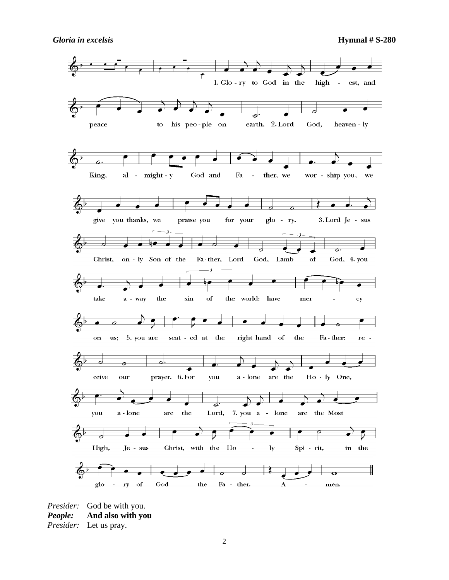

*Presider:* God be with you. *People:* **And also with you**

*Presider:* Let us pray.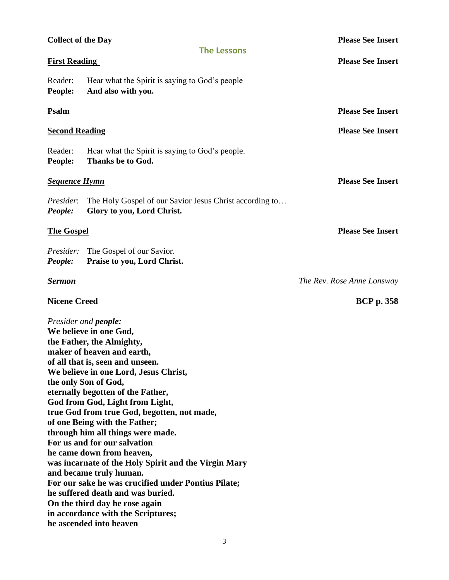| <b>Collect of the Day</b>                  |                                                                                                                                                                                                                                                                                                                                                                                                                                                                                                                                                                                                                                                                                                                                                            | <b>Please See Insert</b>   |
|--------------------------------------------|------------------------------------------------------------------------------------------------------------------------------------------------------------------------------------------------------------------------------------------------------------------------------------------------------------------------------------------------------------------------------------------------------------------------------------------------------------------------------------------------------------------------------------------------------------------------------------------------------------------------------------------------------------------------------------------------------------------------------------------------------------|----------------------------|
| <b>The Lessons</b><br><b>First Reading</b> |                                                                                                                                                                                                                                                                                                                                                                                                                                                                                                                                                                                                                                                                                                                                                            | <b>Please See Insert</b>   |
| Reader:<br>People:                         | Hear what the Spirit is saying to God's people<br>And also with you.                                                                                                                                                                                                                                                                                                                                                                                                                                                                                                                                                                                                                                                                                       |                            |
| Psalm                                      |                                                                                                                                                                                                                                                                                                                                                                                                                                                                                                                                                                                                                                                                                                                                                            | <b>Please See Insert</b>   |
| <b>Second Reading</b>                      |                                                                                                                                                                                                                                                                                                                                                                                                                                                                                                                                                                                                                                                                                                                                                            | <b>Please See Insert</b>   |
| Reader:<br>People:                         | Hear what the Spirit is saying to God's people.<br>Thanks be to God.                                                                                                                                                                                                                                                                                                                                                                                                                                                                                                                                                                                                                                                                                       |                            |
| <b>Sequence Hymn</b>                       |                                                                                                                                                                                                                                                                                                                                                                                                                                                                                                                                                                                                                                                                                                                                                            | <b>Please See Insert</b>   |
| Presider:<br>People:                       | The Holy Gospel of our Savior Jesus Christ according to<br>Glory to you, Lord Christ.                                                                                                                                                                                                                                                                                                                                                                                                                                                                                                                                                                                                                                                                      |                            |
| <b>The Gospel</b>                          |                                                                                                                                                                                                                                                                                                                                                                                                                                                                                                                                                                                                                                                                                                                                                            | <b>Please See Insert</b>   |
| Presider:<br>People:                       | The Gospel of our Savior.<br>Praise to you, Lord Christ.                                                                                                                                                                                                                                                                                                                                                                                                                                                                                                                                                                                                                                                                                                   |                            |
| <b>Sermon</b>                              |                                                                                                                                                                                                                                                                                                                                                                                                                                                                                                                                                                                                                                                                                                                                                            | The Rev. Rose Anne Lonsway |
| <b>Nicene Creed</b>                        |                                                                                                                                                                                                                                                                                                                                                                                                                                                                                                                                                                                                                                                                                                                                                            | <b>BCP</b> p. 358          |
|                                            | Presider and people:<br>We believe in one God,<br>the Father, the Almighty,<br>maker of heaven and earth,<br>of all that is, seen and unseen.<br>We believe in one Lord, Jesus Christ,<br>the only Son of God,<br>eternally begotten of the Father,<br>God from God, Light from Light,<br>true God from true God, begotten, not made,<br>of one Being with the Father;<br>through him all things were made.<br>For us and for our salvation<br>he came down from heaven,<br>was incarnate of the Holy Spirit and the Virgin Mary<br>and became truly human.<br>For our sake he was crucified under Pontius Pilate;<br>he suffered death and was buried.<br>On the third day he rose again<br>in accordance with the Scriptures;<br>he ascended into heaven |                            |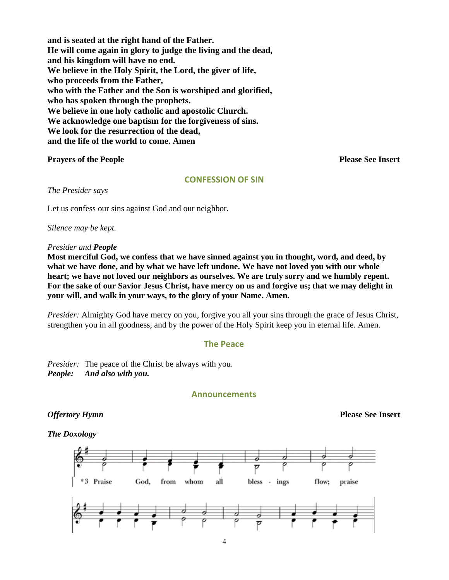**and is seated at the right hand of the Father. He will come again in glory to judge the living and the dead, and his kingdom will have no end. We believe in the Holy Spirit, the Lord, the giver of life, who proceeds from the Father, who with the Father and the Son is worshiped and glorified, who has spoken through the prophets. We believe in one holy catholic and apostolic Church. We acknowledge one baptism for the forgiveness of sins. We look for the resurrection of the dead, and the life of the world to come. Amen**

# **Prayers of the People Please See Insert**

# **CONFESSION OF SIN**

*The Presider says* 

Let us confess our sins against God and our neighbor.

*Silence may be kept.* 

### *Presider and People*

**Most merciful God, we confess that we have sinned against you in thought, word, and deed, by what we have done, and by what we have left undone. We have not loved you with our whole heart; we have not loved our neighbors as ourselves. We are truly sorry and we humbly repent. For the sake of our Savior Jesus Christ, have mercy on us and forgive us; that we may delight in your will, and walk in your ways, to the glory of your Name. Amen.**

*Presider:* Almighty God have mercy on you, forgive you all your sins through the grace of Jesus Christ, strengthen you in all goodness, and by the power of the Holy Spirit keep you in eternal life. Amen.

### **The Peace**

*Presider:* The peace of the Christ be always with you. *People: And also with you.*

# **Announcements**

*The Doxology*

*Offertory Hymn* **Please See Insert**

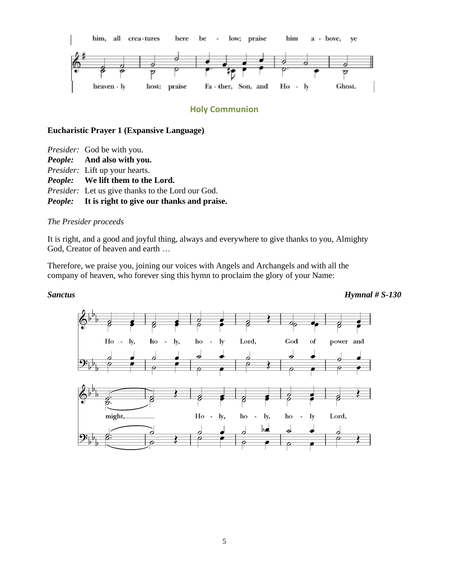

# **Holy Communion**

# **Eucharistic Prayer 1 (Expansive Language)**

| <i>Presider:</i> God be with you.                         |  |
|-----------------------------------------------------------|--|
| <i>People:</i> And also with you.                         |  |
| <i>Presider:</i> Lift up your hearts.                     |  |
| <i>People:</i> We lift them to the Lord.                  |  |
| <i>Presider:</i> Let us give thanks to the Lord our God.  |  |
| <i>People:</i> It is right to give our thanks and praise. |  |

# *The Presider proceeds*

It is right, and a good and joyful thing, always and everywhere to give thanks to you, Almighty God, Creator of heaven and earth …

Therefore, we praise you, joining our voices with Angels and Archangels and with all the company of heaven, who forever sing this hymn to proclaim the glory of your Name:

*Sanctus Hymnal # S-130*

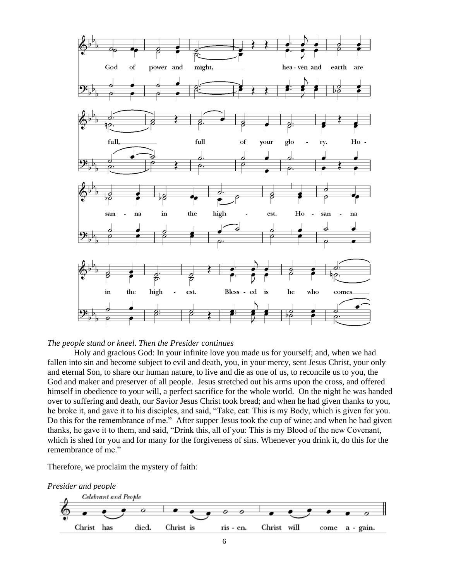

### *The people stand or kneel. Then the Presider continues*

Holy and gracious God: In your infinite love you made us for yourself; and, when we had fallen into sin and become subject to evil and death, you, in your mercy, sent Jesus Christ, your only and eternal Son, to share our human nature, to live and die as one of us, to reconcile us to you, the God and maker and preserver of all people. Jesus stretched out his arms upon the cross, and offered himself in obedience to your will, a perfect sacrifice for the whole world. On the night he was handed over to suffering and death, our Savior Jesus Christ took bread; and when he had given thanks to you, he broke it, and gave it to his disciples, and said, "Take, eat: This is my Body, which is given for you. Do this for the remembrance of me." After supper Jesus took the cup of wine; and when he had given thanks, he gave it to them, and said, "Drink this, all of you: This is my Blood of the new Covenant, which is shed for you and for many for the forgiveness of sins. Whenever you drink it, do this for the remembrance of me."

Therefore, we proclaim the mystery of faith:

*Presider and people*Celebrant and People 0 Ō Christ has died. Christ is ris - en. Christ will come a - gain.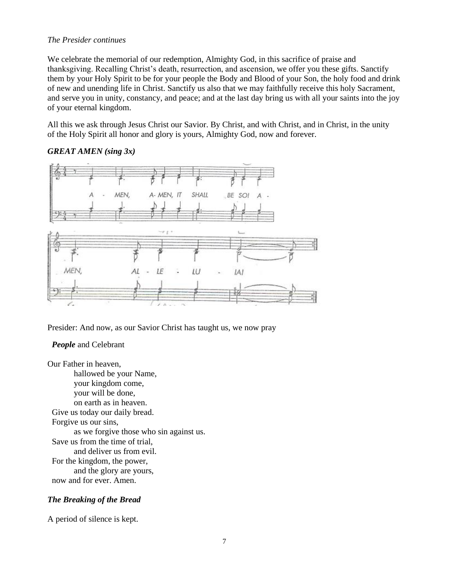# *The Presider continues*

We celebrate the memorial of our redemption, Almighty God, in this sacrifice of praise and thanksgiving. Recalling Christ's death, resurrection, and ascension, we offer you these gifts. Sanctify them by your Holy Spirit to be for your people the Body and Blood of your Son, the holy food and drink of new and unending life in Christ. Sanctify us also that we may faithfully receive this holy Sacrament, and serve you in unity, constancy, and peace; and at the last day bring us with all your saints into the joy of your eternal kingdom.

All this we ask through Jesus Christ our Savior. By Christ, and with Christ, and in Christ, in the unity of the Holy Spirit all honor and glory is yours, Almighty God, now and forever.

# *GREAT AMEN (sing 3x)*



Presider: And now, as our Savior Christ has taught us, we now pray

## *People* and Celebrant

Our Father in heaven, hallowed be your Name, your kingdom come, your will be done, on earth as in heaven. Give us today our daily bread. Forgive us our sins, as we forgive those who sin against us. Save us from the time of trial, and deliver us from evil. For the kingdom, the power, and the glory are yours, now and for ever. Amen.

# *The Breaking of the Bread*

A period of silence is kept.